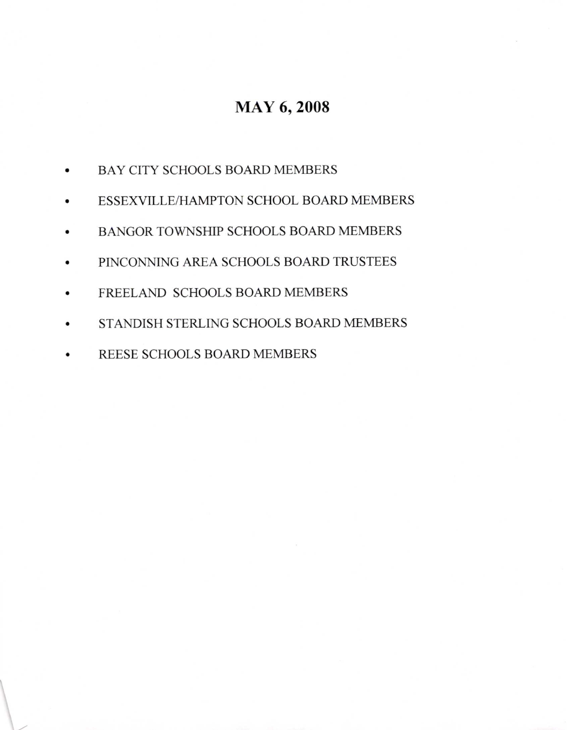## MAY 6,2008

- a BAY CITY SCHOOLS BOARD MEMBERS
- a ESSEXVILLE/HAMPTON SCHOOL BOARD MEMBERS
- a BANGOR TOWNSHIP SCHOOLS BOARD MEMBERS
- a PINCONNING AREA SCHOOLS BOARD TRUSTEES
- $\bullet$ FREELAND SCHOOLS BOARD MEMBERS
- a STANDISH STERLING SCHOOLS BOARD MEMBERS
- a REESE SCHOOLS BOARD MEMBERS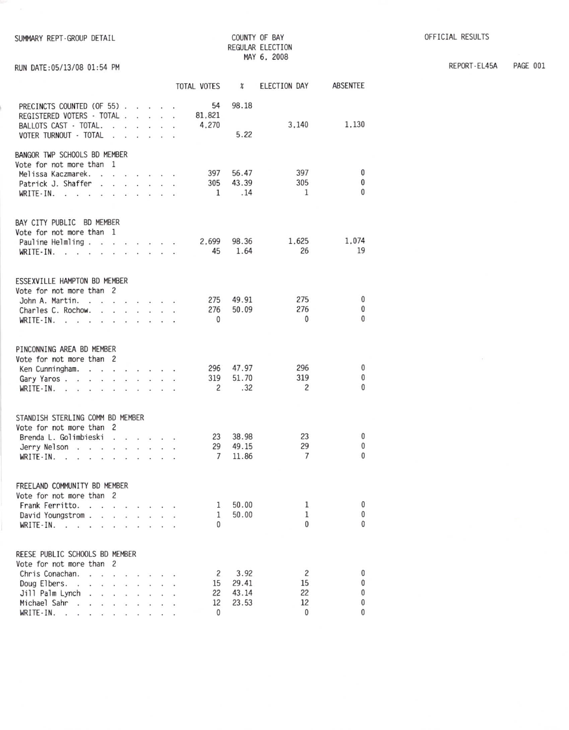| SUMMARY REPT-GROUP DETAIL |  |
|---------------------------|--|
|                           |  |

RUN DATE: 05/13/08 01:54 PM

COUNTY OF BAY REGULAR ELECTION MAY 6, 2008

PAGE 001 REPORT-EL45A

|                                                                                                                                                                                                                                                                                                                                                                                                                                                        |                             |                                                          | TOTAL VOTES                | $\boldsymbol{\mathcal{X}}$ | ELECTION DAY               | ABSENTEE                         |
|--------------------------------------------------------------------------------------------------------------------------------------------------------------------------------------------------------------------------------------------------------------------------------------------------------------------------------------------------------------------------------------------------------------------------------------------------------|-----------------------------|----------------------------------------------------------|----------------------------|----------------------------|----------------------------|----------------------------------|
| PRECINCTS COUNTED (OF 55)<br>REGISTERED VOTERS - TOTAL<br>BALLOTS CAST - TOTAL.<br>$\mathbf{r} = \mathbf{r}$<br>VOTER TURNOUT - TOTAL<br>$\cdot$ $\cdot$                                                                                                                                                                                                                                                                                               | $\mathcal{L}^{\mathcal{L}}$ | $\mathbf{r}$ and $\mathbf{r}$<br>$\cdot$ $\cdot$ $\cdot$ | 54<br>81,821<br>4,270      | 98.18<br>5.22              | 3,140                      | 1,130                            |
| BANGOR TWP SCHOOLS BD MEMBER                                                                                                                                                                                                                                                                                                                                                                                                                           |                             |                                                          |                            |                            |                            |                                  |
| Vote for not more than 1<br>Melissa Kaczmarek.<br>Patrick J. Shaffer<br>.<br>$\sim$<br>$WRITE-IN.$ .                                                                                                                                                                                                                                                                                                                                                   |                             |                                                          | 397<br>305<br>$\mathbf{1}$ | 56.47<br>43.39<br>.14      | 397<br>305<br>1            | $\mathbf 0$<br>0<br>$\mathbf{0}$ |
| BAY CITY PUBLIC BD MEMBER                                                                                                                                                                                                                                                                                                                                                                                                                              |                             |                                                          |                            |                            |                            |                                  |
| Vote for not more than 1<br>Pauline Helmling<br>WRITE-IN.                                                                                                                                                                                                                                                                                                                                                                                              |                             |                                                          | 2.699<br>45                | 98.36<br>1.64              | 1,625<br>26                | 1.074<br>19                      |
| ESSEXVILLE HAMPTON BD MEMBER                                                                                                                                                                                                                                                                                                                                                                                                                           |                             |                                                          |                            |                            |                            |                                  |
| Vote for not more than 2<br>John A. Martin.<br>Charles C. Rochow.<br>WRITE-IN. $\cdot$                                                                                                                                                                                                                                                                                                                                                                 |                             |                                                          | 275<br>276<br>$\mathbf{0}$ | 49.91<br>50.09             | 275<br>276<br>$\mathbf{0}$ | 0<br>0<br>$\theta$               |
| PINCONNING AREA BD MEMBER                                                                                                                                                                                                                                                                                                                                                                                                                              |                             |                                                          |                            |                            |                            |                                  |
| Vote for not more than 2<br>Ken Cunningham.                                                                                                                                                                                                                                                                                                                                                                                                            |                             |                                                          | 296                        | 47.97                      | 296                        | $\mathbf 0$                      |
| Gary Yaros<br>$\ddot{\phantom{a}}$<br>$WRITE \cdot IN.$ .                                                                                                                                                                                                                                                                                                                                                                                              |                             |                                                          | 319<br>$\overline{c}$      | 51.70<br>.32               | 319<br>$\overline{c}$      | 0<br>$\theta$                    |
| STANDISH STERLING COMM BD MEMBER                                                                                                                                                                                                                                                                                                                                                                                                                       |                             |                                                          |                            |                            |                            |                                  |
| Vote for not more than 2                                                                                                                                                                                                                                                                                                                                                                                                                               |                             |                                                          |                            |                            |                            |                                  |
| Brenda L. Golimbieski                                                                                                                                                                                                                                                                                                                                                                                                                                  |                             |                                                          | 23                         | 38.98                      | 23                         | 0                                |
| Jerry Nelson                                                                                                                                                                                                                                                                                                                                                                                                                                           |                             |                                                          | 29                         | 49.15                      | 29                         | 0<br>$\mathbf{0}$                |
| WRITE - IN.<br>the contract of the contract of the                                                                                                                                                                                                                                                                                                                                                                                                     |                             |                                                          | $\overline{7}$             | 11.86                      | 7                          |                                  |
| FREELAND COMMUNITY BD MEMBER                                                                                                                                                                                                                                                                                                                                                                                                                           |                             |                                                          |                            |                            |                            |                                  |
| Vote for not more than 2                                                                                                                                                                                                                                                                                                                                                                                                                               |                             |                                                          |                            |                            |                            |                                  |
| Frank Ferritto.<br>$\sim$<br>$\sim$                                                                                                                                                                                                                                                                                                                                                                                                                    |                             |                                                          | 1                          | 50.00                      | 1<br>1                     | 0<br>0                           |
| David Youngstrom .<br>$\cdots$ $\cdots$<br>WRITE-IN. .<br>$\mathbf{r}$                                                                                                                                                                                                                                                                                                                                                                                 |                             |                                                          | 1<br>0                     | 50.00                      | $\Omega$                   | $\Omega$                         |
|                                                                                                                                                                                                                                                                                                                                                                                                                                                        |                             |                                                          |                            |                            |                            |                                  |
| REESE PUBLIC SCHOOLS BD MEMBER                                                                                                                                                                                                                                                                                                                                                                                                                         |                             |                                                          |                            |                            |                            |                                  |
| Vote for not more than 2                                                                                                                                                                                                                                                                                                                                                                                                                               |                             |                                                          |                            | 3.92                       | $\overline{c}$             |                                  |
| Chris Conachan.<br>$\cdots$ $\cdots$<br>Doug Elbers.<br>and a series of the con-<br><b>Carlos</b>                                                                                                                                                                                                                                                                                                                                                      |                             |                                                          | 2<br>15                    | 29.41                      | 15                         | $\bf{0}$<br>0                    |
| Jill Palm Lynch                                                                                                                                                                                                                                                                                                                                                                                                                                        |                             |                                                          | 22                         | 43.14                      | 22                         | 0                                |
| Michael Sahr                                                                                                                                                                                                                                                                                                                                                                                                                                           |                             |                                                          | 12                         | 23.53                      | 12                         | 0                                |
| $WRITE-IN.$ .<br>$\begin{array}{cccccccccccccc} \mathbf{1} & \mathbf{1} & \mathbf{1} & \mathbf{1} & \mathbf{1} & \mathbf{1} & \mathbf{1} & \mathbf{1} & \mathbf{1} & \mathbf{1} & \mathbf{1} & \mathbf{1} & \mathbf{1} & \mathbf{1} & \mathbf{1} & \mathbf{1} & \mathbf{1} & \mathbf{1} & \mathbf{1} & \mathbf{1} & \mathbf{1} & \mathbf{1} & \mathbf{1} & \mathbf{1} & \mathbf{1} & \mathbf{1} & \mathbf{1} & \mathbf{1} & \mathbf{1} & \mathbf{1} &$ |                             |                                                          | $\Omega$                   |                            | $\mathbf{0}$               | 0                                |